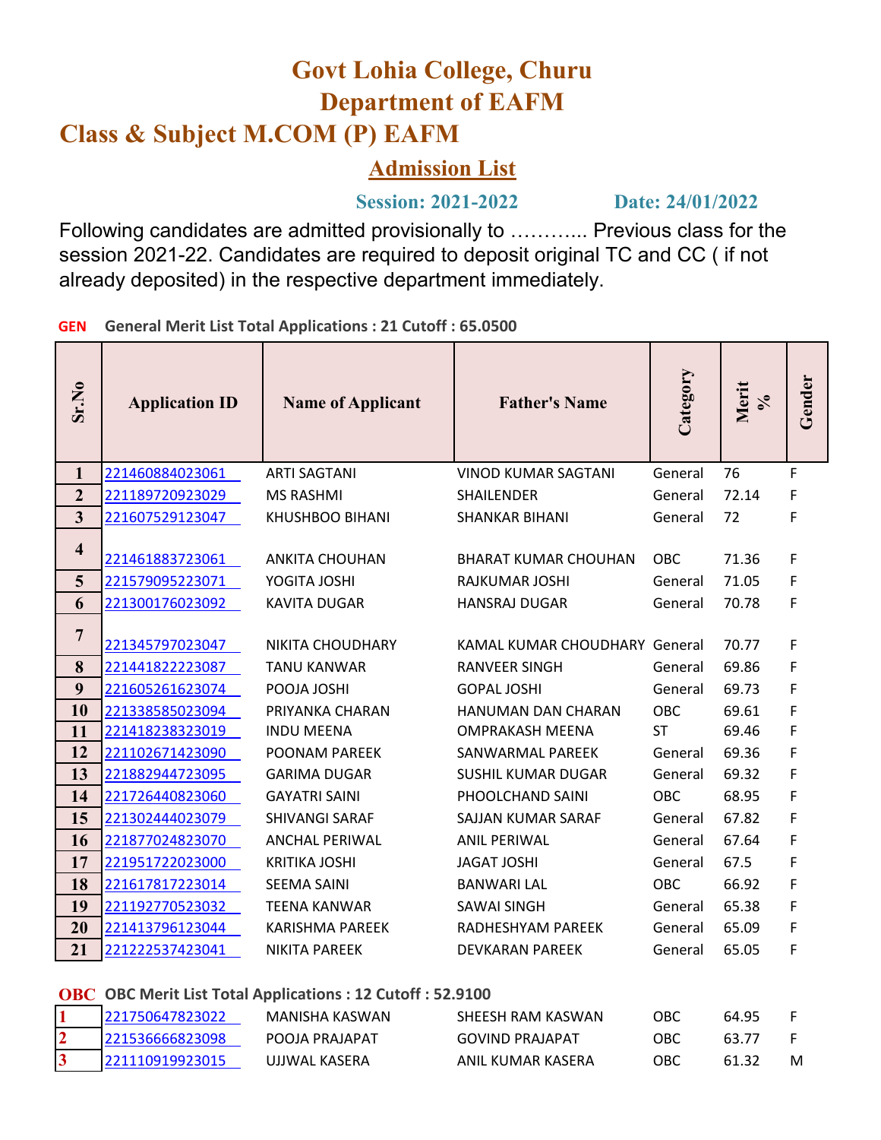## **Govt Lohia College, Churu Department of EAFM Class & Subject M.COM (P) EAFM**

## **Admission List**

 **Session: 2021-2022 Date: 24/01/2022**

Following candidates are admitted provisionally to ………... Previous class for the session 2021-22. Candidates are required to deposit original TC and CC ( if not already deposited) in the respective department immediately.

**GEN General Merit List Total Applications : 21 Cutoff : 65.0500**

| Sr.No                        | <b>Application ID</b>              | <b>Name of Applicant</b>                    | <b>Father's Name</b>                          | Category              | Merit<br>$\sqrt{6}$ | Gender |
|------------------------------|------------------------------------|---------------------------------------------|-----------------------------------------------|-----------------------|---------------------|--------|
| $\mathbf{1}$                 | 221460884023061                    | <b>ARTI SAGTANI</b>                         | <b>VINOD KUMAR SAGTANI</b>                    | General               | 76                  | F      |
| $\overline{2}$               | 221189720923029                    | <b>MS RASHMI</b>                            | <b>SHAILENDER</b>                             | General               | 72.14               | F      |
| $\overline{3}$               | 221607529123047                    | KHUSHBOO BIHANI                             | <b>SHANKAR BIHANI</b>                         | General               | 72                  | F      |
| $\overline{\mathbf{4}}$<br>5 | 221461883723061<br>221579095223071 | <b>ANKITA CHOUHAN</b><br>YOGITA JOSHI       | <b>BHARAT KUMAR CHOUHAN</b><br>RAJKUMAR JOSHI | <b>OBC</b><br>General | 71.36<br>71.05      | F<br>F |
| 6                            | 221300176023092                    | <b>KAVITA DUGAR</b>                         | <b>HANSRAJ DUGAR</b>                          | General               | 70.78               | F      |
| $\overline{7}$               | 221345797023047                    | NIKITA CHOUDHARY                            | <b>KAMAL KUMAR CHOUDHARY General</b>          |                       | 70.77               | F      |
| 8                            | 221441822223087                    | <b>TANU KANWAR</b>                          | <b>RANVEER SINGH</b>                          | General               | 69.86               | F      |
| 9                            | 221605261623074                    | POOJA JOSHI                                 | <b>GOPAL JOSHI</b>                            | General               | 69.73               | F      |
| 10                           | 221338585023094                    | PRIYANKA CHARAN                             | HANUMAN DAN CHARAN                            | <b>OBC</b>            | 69.61               | F      |
| 11                           | 221418238323019                    | <b>INDU MEENA</b>                           | <b>OMPRAKASH MEENA</b>                        | <b>ST</b>             | 69.46               | F      |
| 12                           | 221102671423090                    | POONAM PARFEK                               | SANWARMAL PAREEK                              | General               | 69.36               | F      |
| 13<br>14                     | 221882944723095                    | <b>GARIMA DUGAR</b><br><b>GAYATRI SAINI</b> | <b>SUSHIL KUMAR DUGAR</b><br>PHOOLCHAND SAINI | General<br>OBC        | 69.32<br>68.95      | F<br>F |
| 15                           | 221726440823060<br>221302444023079 | <b>SHIVANGI SARAF</b>                       | SAJJAN KUMAR SARAF                            | General               | 67.82               | F      |
| 16                           | 221877024823070                    | <b>ANCHAL PERIWAL</b>                       | <b>ANIL PERIWAL</b>                           | General               | 67.64               | F      |
| 17                           | 221951722023000                    | <b>KRITIKA JOSHI</b>                        | <b>JAGAT JOSHI</b>                            | General               | 67.5                | F      |
| 18                           | 221617817223014                    | <b>SEEMA SAINI</b>                          | <b>BANWARI LAL</b>                            | <b>OBC</b>            | 66.92               | F      |
| 19                           | 221192770523032                    | <b>TEENA KANWAR</b>                         | <b>SAWAI SINGH</b>                            | General               | 65.38               | F      |
| 20                           | 221413796123044                    | <b>KARISHMA PAREEK</b>                      | RADHESHYAM PAREEK                             | General               | 65.09               | F      |
| 21                           | 221222537423041                    | <b>NIKITA PAREEK</b>                        | <b>DEVKARAN PAREEK</b>                        | General               | 65.05               | F      |

**OBC OBC Merit List Total Applications : 12 Cutoff : 52.9100**

| 1221750647823022 | MANISHA KASWAN | SHEESH RAM KASWAN      | OBC | 64.95 |   |
|------------------|----------------|------------------------|-----|-------|---|
| 221536666823098  | POOJA PRAJAPAT | <b>GOVIND PRAJAPAT</b> | OBC | 63.77 |   |
| 221110919923015  | UJJWAL KASERA  | ANIL KUMAR KASERA      | OBC |       | м |